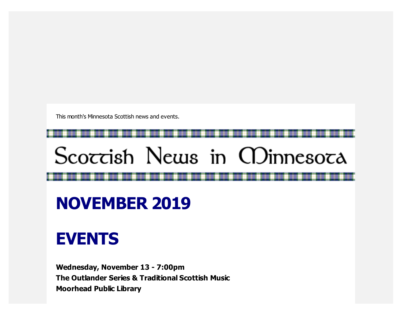This month's Minnesota Scottish news and events.

# Scoccish News in CDinnesoca

## **NOVEMBER 2019**

### **EVENTS**

**Wednesday, November 13 - 7:00pm The Outlander Series & Traditional Scottish Music Moorhead Public Library**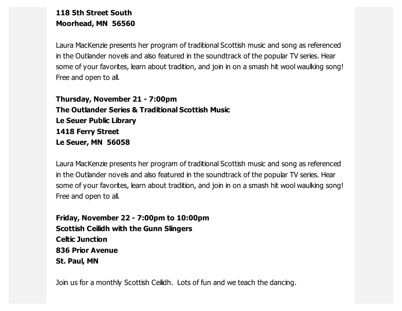#### **118 5th Street South Moorhead, MN 56560**

Laura MacKenzie presents her program of traditional Scottish music and song as referenced in the Outlander novels and also featured in the soundtrack of the popular TV series. Hear some of your favorites, learn about tradition, and join in on a smash hit wool waulking song! Free and open to all.

**Thursday, November 21 - 7:00pm The Outlander Series & Traditional Scottish Music Le Seuer Public Library 1418 Ferry Street Le Seuer, MN 56058**

Laura MacKenzie presents her program of traditional Scottish music and song as referenced in the Outlander novels and also featured in the soundtrack of the popular TV series. Hear some of your favorites, learn about tradition, and join in on a smash hit wool waulking song! Free and open to all.

**Friday, November 22 - 7:00pm to 10:00pm Scottish Ceilidh with the Gunn Slingers Celtic Junction 836 Prior Avenue St. Paul, MN**

Join us for a monthly Scottish Ceilidh. Lots of fun and we teach the dancing.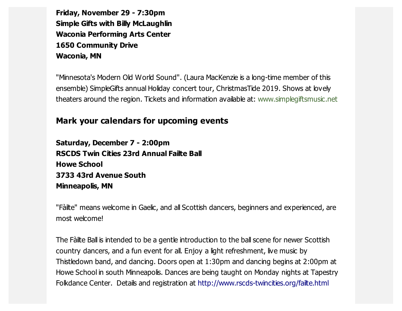**Friday, November 29 - 7:30pm Simple Gifts with Billy McLaughlin Waconia Performing Arts Center 1650 Community Drive Waconia, MN**

"Minnesota's Modern Old World Sound". (Laura MacKenzie is a long-time member of this ensemble) SimpleGifts annual Holiday concert tour, ChristmasTide 2019. Shows at lovely theaters around the region. Tickets and information available at: [www.simplegiftsmusic.net](https://scottishamericancentermn.us10.list-manage.com/track/click?u=2fe4099001736ac4b948473e4&id=30aab6ba90&e=6b0ba04b53)

#### **Mark your calendars for upcoming events**

**Saturday, December 7 - 2:00pm RSCDS Twin Cities 23rd Annual Failte Ball Howe School 3733 43rd Avenue South Minneapolis, MN**

"Fàilte" means welcome in Gaelic, and all Scottish dancers, beginners and experienced, are most welcome!

The Fàilte Ball is intended to be a gentle introduction to the ball scene for newer Scottish country dancers, and a fun event for all. Enjoy a light refreshment, live music by Thistledown band, and dancing. Doors open at 1:30pm and dancing begins at 2:00pm at Howe School in south Minneapolis. Dances are being taught on Monday nights at Tapestry Folkdance Center. Details and registration at [http://www.rscds-twincities.org/failte.html](https://scottishamericancentermn.us10.list-manage.com/track/click?u=2fe4099001736ac4b948473e4&id=6d3a6b670d&e=6b0ba04b53)